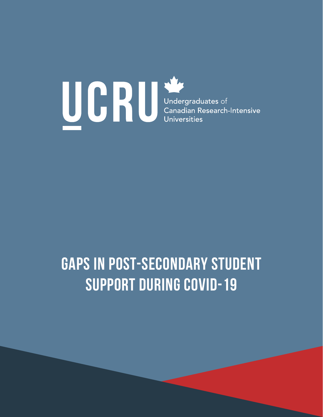

# **Gaps in Post-Secondary Student Support during COVID-19**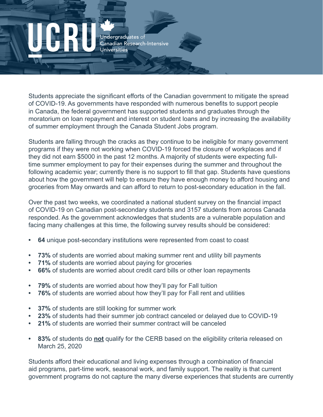Students appreciate the significant efforts of the Canadian government to mitigate the spread of COVID-19. As governments have responded with numerous benefits to support people in Canada, the federal government has supported students and graduates through the moratorium on loan repayment and interest on student loans and by increasing the availability of summer employment through the Canada Student Jobs program.

Students are falling through the cracks as they continue to be ineligible for many government programs if they were not working when COVID-19 forced the closure of workplaces and if they did not earn \$5000 in the past 12 months. A majority of students were expecting fulltime summer employment to pay for their expenses during the summer and throughout the following academic year; currently there is no support to fill that gap. Students have questions about how the government will help to ensure they have enough money to afford housing and groceries from May onwards and can afford to return to post-secondary education in the fall.

Over the past two weeks, we coordinated a national student survey on the financial impact of COVID-19 on Canadian post-secondary students and 3157 students from across Canada responded. As the government acknowledges that students are a vulnerable population and facing many challenges at this time, the following survey results should be considered:

- **• 64** unique post-secondary institutions were represented from coast to coast
- **• 73%** of students are worried about making summer rent and utility bill payments
- **• 71%** of students are worried about paying for groceries
- **• 66%** of students are worried about credit card bills or other loan repayments
- **• 79%** of students are worried about how they'll pay for Fall tuition
- **• 76%** of students are worried about how they'll pay for Fall rent and utilities
- **37%** of students are still looking for summer work
- **• 23%** of students had their summer job contract canceled or delayed due to COVID-19
- **• 21%** of students are worried their summer contract will be canceled
- **• 83%** of students do **not** qualify for the CERB based on the eligibility criteria released on March 25, 2020

Students afford their educational and living expenses through a combination of financial aid programs, part-time work, seasonal work, and family support. The reality is that current government programs do not capture the many diverse experiences that students are currently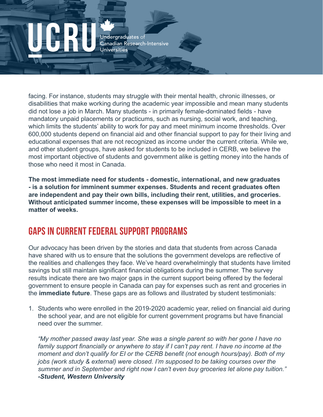facing. For instance, students may struggle with their mental health, chronic illnesses, or disabilities that make working during the academic year impossible and mean many students did not lose a job in March. Many students - in primarily female-dominated fields - have mandatory unpaid placements or practicums, such as nursing, social work, and teaching, which limits the students' ability to work for pay and meet minimum income thresholds. Over 600,000 students depend on financial aid and other financial support to pay for their living and educational expenses that are not recognized as income under the current criteria. While we, and other student groups, have asked for students to be included in CERB, we believe the most important objective of students and government alike is getting money into the hands of those who need it most in Canada.

**The most immediate need for students - domestic, international, and new graduates - is a solution for imminent summer expenses. Students and recent graduates often are independent and pay their own bills, including their rent, utilities, and groceries. Without anticipated summer income, these expenses will be impossible to meet in a matter of weeks.** 

### GAPS IN CURRENT FEDERAL SUPPORT PROGRAMS

Our advocacy has been driven by the stories and data that students from across Canada have shared with us to ensure that the solutions the government develops are reflective of the realities and challenges they face. We've heard overwhelmingly that students have limited savings but still maintain significant financial obligations during the summer. The survey results indicate there are two major gaps in the current support being offered by the federal government to ensure people in Canada can pay for expenses such as rent and groceries in the **immediate future**. These gaps are as follows and illustrated by student testimonials:

1. Students who were enrolled in the 2019-2020 academic year, relied on financial aid during the school year, and are not eligible for current government programs but have financial need over the summer.

*"My mother passed away last year. She was a single parent so with her gone I have no family support financially or anywhere to stay if I can't pay rent. I have no income at the moment and don't qualify for EI or the CERB benefit (not enough hours/pay). Both of my jobs (work study & external) were closed. I'm supposed to be taking courses over the summer and in September and right now I can't even buy groceries let alone pay tuition." -Student, Western University*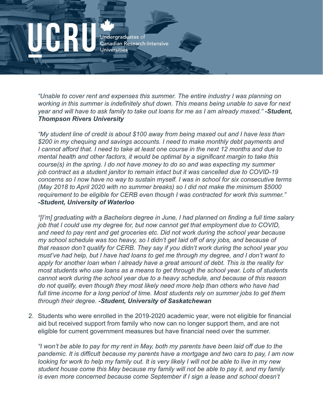*"Unable to cover rent and expenses this summer. The entire industry I was planning on working in this summer is indefinitely shut down. This means being unable to save for next year and will have to ask family to take out loans for me as I am already maxed." -Student, Thompson Rivers University*

*"My student line of credit is about \$100 away from being maxed out and I have less than \$200 in my chequing and savings accounts. I need to make monthly debt payments and I cannot afford that. I need to take at least one course in the next 12 months and due to mental health and other factors, it would be optimal by a significant margin to take this course(s) in the spring. I do not have money to do so and was expecting my summer job contract as a student janitor to remain intact but it was cancelled due to COVID-19 concerns so I now have no way to sustain myself. I was in school for six consecutive terms (May 2018 to April 2020 with no summer breaks) so I did not make the minimum \$5000 requirement to be eligible for CERB even though I was contracted for work this summer." -Student, University of Waterloo*

*"[I'm] graduating with a Bachelors degree in June, I had planned on finding a full time salary job that I could use my degree for, but now cannot get that employment due to COVID, and need to pay rent and get groceries etc. Did not work during the school year because my school schedule was too heavy, so I didn't get laid off of any jobs, and because of that reason don't qualify for CERB. They say if you didn't work during the school year you must've had help, but I have had loans to get me through my degree, and I don't want to apply for another loan when I already have a great amount of debt. This is the reality for most students who use loans as a means to get through the school year. Lots of students cannot work during the school year due to a heavy schedule, and because of this reason do not qualify, even though they most likely need more help than others who have had*  full time income for a long period of time. Most students rely on summer jobs to get them *through their degree. -Student, University of Saskatchewan*

2. Students who were enrolled in the 2019-2020 academic year, were not eligible for financial aid but received support from family who now can no longer support them, and are not eligible for current government measures but have financial need over the summer.

*"I won't be able to pay for my rent in May, both my parents have been laid off due to the pandemic. It is difficult because my parents have a mortgage and two cars to pay, I am now looking for work to help my family out. It is very likely I will not be able to live in my new student house come this May because my family will not be able to pay it, and my family is even more concerned because come September if I sign a lease and school doesn't*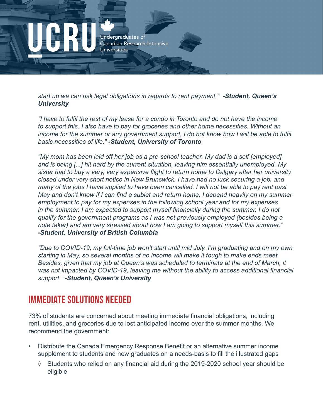

*start up we can risk legal obligations in regards to rent payment." -Student, Queen's University*

*"I have to fulfil the rest of my lease for a condo in Toronto and do not have the income to support this. I also have to pay for groceries and other home necessities. Without an income for the summer or any government support, I do not know how I will be able to fulfil basic necessities of life." -Student, University of Toronto*

*"My mom has been laid off her job as a pre-school teacher. My dad is a self [employed] and is being [...] hit hard by the current situation, leaving him essentially unemployed. My sister had to buy a very, very expensive flight to return home to Calgary after her university closed under very short notice in New Brunswick. I have had no luck securing a job, and many of the jobs I have applied to have been cancelled. I will not be able to pay rent past May and don't know if I can find a sublet and return home. I depend heavily on my summer employment to pay for my expenses in the following school year and for my expenses in the summer. I am expected to support myself financially during the summer. I do not qualify for the government programs as I was not previously employed (besides being a note taker) and am very stressed about how I am going to support myself this summer." -Student, University of British Columbia*

*"Due to COVID-19, my full-time job won't start until mid July. I'm graduating and on my own starting in May, so several months of no income will make it tough to make ends meet. Besides, given that my job at Queen's was scheduled to terminate at the end of March, it was not impacted by COVID-19, leaving me without the ability to access additional financial support." -Student, Queen's University* 

### IMMEDIATE SOLUTIONS NEEDED

73% of students are concerned about meeting immediate financial obligations, including rent, utilities, and groceries due to lost anticipated income over the summer months. We recommend the government:

- Distribute the Canada Emergency Response Benefit or an alternative summer income supplement to students and new graduates on a needs-basis to fill the illustrated gaps
	- $\Diamond$  Students who relied on any financial aid during the 2019-2020 school year should be eligible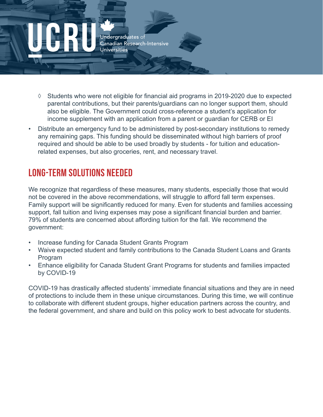- ◊ Students who were not eligible for financial aid programs in 2019-2020 due to expected parental contributions, but their parents/guardians can no longer support them, should also be eligible. The Government could cross-reference a student's application for income supplement with an application from a parent or guardian for CERB or EI
- Distribute an emergency fund to be administered by post-secondary institutions to remedy any remaining gaps. This funding should be disseminated without high barriers of proof required and should be able to be used broadly by students - for tuition and educationrelated expenses, but also groceries, rent, and necessary travel.

## LONG-TERM SOLUTIONS NEEDED

We recognize that regardless of these measures, many students, especially those that would not be covered in the above recommendations, will struggle to afford fall term expenses. Family support will be significantly reduced for many. Even for students and families accessing support, fall tuition and living expenses may pose a significant financial burden and barrier. 79% of students are concerned about affording tuition for the fall. We recommend the government:

- Increase funding for Canada Student Grants Program
- Waive expected student and family contributions to the Canada Student Loans and Grants Program
- Enhance eligibility for Canada Student Grant Programs for students and families impacted by COVID-19

COVID-19 has drastically affected students' immediate financial situations and they are in need of protections to include them in these unique circumstances. During this time, we will continue to collaborate with different student groups, higher education partners across the country, and the federal government, and share and build on this policy work to best advocate for students.